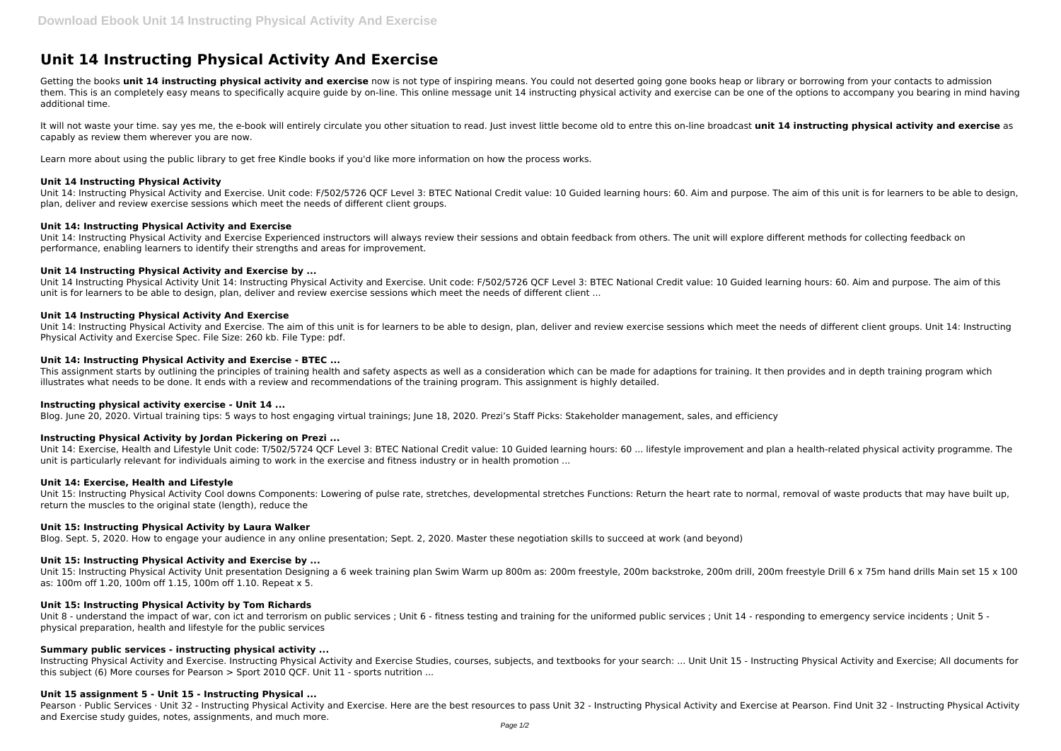# **Unit 14 Instructing Physical Activity And Exercise**

Getting the books unit 14 instructing physical activity and exercise now is not type of inspiring means. You could not deserted going gone books heap or library or borrowing from your contacts to admission them. This is an completely easy means to specifically acquire guide by on-line. This online message unit 14 instructing physical activity and exercise can be one of the options to accompany you bearing in mind having additional time.

It will not waste your time, say yes me, the e-book will entirely circulate you other situation to read. Just invest little become old to entre this on-line broadcast unit 14 instructing physical activity and exercise as capably as review them wherever you are now.

Learn more about using the public library to get free Kindle books if you'd like more information on how the process works.

#### **Unit 14 Instructing Physical Activity**

Unit 14: Instructing Physical Activity and Exercise. Unit code: F/502/5726 QCF Level 3: BTEC National Credit value: 10 Guided learning hours: 60. Aim and purpose. The aim of this unit is for learners to be able to design, plan, deliver and review exercise sessions which meet the needs of different client groups.

#### **Unit 14: Instructing Physical Activity and Exercise**

This assignment starts by outlining the principles of training health and safety aspects as well as a consideration which can be made for adaptions for training. It then provides and in depth training program which illustrates what needs to be done. It ends with a review and recommendations of the training program. This assignment is highly detailed.

Unit 14: Instructing Physical Activity and Exercise Experienced instructors will always review their sessions and obtain feedback from others. The unit will explore different methods for collecting feedback on performance, enabling learners to identify their strengths and areas for improvement.

#### **Unit 14 Instructing Physical Activity and Exercise by ...**

Unit 14 Instructing Physical Activity Unit 14: Instructing Physical Activity and Exercise. Unit code: F/502/5726 QCF Level 3: BTEC National Credit value: 10 Guided learning hours: 60. Aim and purpose. The aim of this unit is for learners to be able to design, plan, deliver and review exercise sessions which meet the needs of different client ...

Unit 15: Instructing Physical Activity Cool downs Components: Lowering of pulse rate, stretches, developmental stretches Functions: Return the heart rate to normal, removal of waste products that may have built up, return the muscles to the original state (length), reduce the

#### **Unit 14 Instructing Physical Activity And Exercise**

Unit 15: Instructing Physical Activity Unit presentation Designing a 6 week training plan Swim Warm up 800m as: 200m freestyle, 200m backstroke, 200m drill, 200m freestyle Drill 6 x 75m hand drills Main set 15 x 100 as: 100m off 1.20, 100m off 1.15, 100m off 1.10. Repeat x 5.

Unit 14: Instructing Physical Activity and Exercise. The aim of this unit is for learners to be able to design, plan, deliver and review exercise sessions which meet the needs of different client groups. Unit 14: Instructing Physical Activity and Exercise Spec. File Size: 260 kb. File Type: pdf.

Unit 8 - understand the impact of war, con ict and terrorism on public services ; Unit 6 - fitness testing and training for the uniformed public services ; Unit 14 - responding to emergency service incidents ; Unit 5 physical preparation, health and lifestyle for the public services

#### **Unit 14: Instructing Physical Activity and Exercise - BTEC ...**

Pearson · Public Services · Unit 32 - Instructing Physical Activity and Exercise. Here are the best resources to pass Unit 32 - Instructing Physical Activity and Exercise at Pearson. Find Unit 32 - Instructing Physical Act and Exercise study guides, notes, assignments, and much more.

### **Instructing physical activity exercise - Unit 14 ...**

Blog. June 20, 2020. Virtual training tips: 5 ways to host engaging virtual trainings; June 18, 2020. Prezi's Staff Picks: Stakeholder management, sales, and efficiency

#### **Instructing Physical Activity by Jordan Pickering on Prezi ...**

Unit 14: Exercise, Health and Lifestyle Unit code: T/502/5724 QCF Level 3: BTEC National Credit value: 10 Guided learning hours: 60 ... lifestyle improvement and plan a health-related physical activity programme. The unit is particularly relevant for individuals aiming to work in the exercise and fitness industry or in health promotion ...

#### **Unit 14: Exercise, Health and Lifestyle**

#### **Unit 15: Instructing Physical Activity by Laura Walker**

Blog. Sept. 5, 2020. How to engage your audience in any online presentation; Sept. 2, 2020. Master these negotiation skills to succeed at work (and beyond)

## **Unit 15: Instructing Physical Activity and Exercise by ...**

#### **Unit 15: Instructing Physical Activity by Tom Richards**

#### **Summary public services - instructing physical activity ...**

Instructing Physical Activity and Exercise. Instructing Physical Activity and Exercise Studies, courses, subjects, and textbooks for your search: ... Unit Unit 15 - Instructing Physical Activity and Exercise; All documents this subject (6) More courses for Pearson > Sport 2010 OCF. Unit 11 - sports nutrition ...

#### **Unit 15 assignment 5 - Unit 15 - Instructing Physical ...**